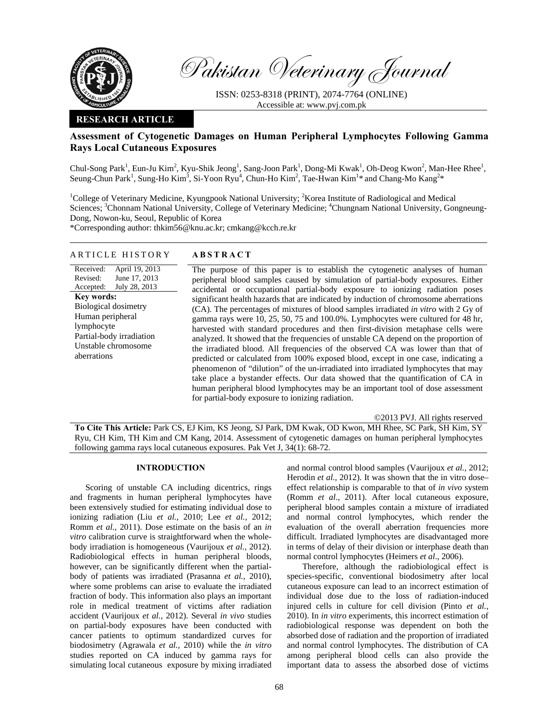

Pakistan Veterinary Journal

ISSN: 0253-8318 (PRINT), 2074-7764 (ONLINE) Accessible at: www.pvj.com.pk

## **RESEARCH ARTICLE**

## **Assessment of Cytogenetic Damages on Human Peripheral Lymphocytes Following Gamma Rays Local Cutaneous Exposures**

Chul-Song Park<sup>1</sup>, Eun-Ju Kim<sup>2</sup>, Kyu-Shik Jeong<sup>1</sup>, Sang-Joon Park<sup>1</sup>, Dong-Mi Kwak<sup>1</sup>, Oh-Deog Kwon<sup>2</sup>, Man-Hee Rhee<sup>1</sup>, Seung-Chun Park<sup>1</sup>, Sung-Ho Kim<sup>3</sup>, Si-Yoon Ryu<sup>4</sup>, Chun-Ho Kim<sup>2</sup>, Tae-Hwan Kim<sup>1</sup>\* and Chang-Mo Kang<sup>2\*</sup>

<sup>1</sup>College of Veterinary Medicine, Kyungpook National University; <sup>2</sup>Korea Institute of Radiological and Medical Sciences; <sup>3</sup>Chonnam National University, College of Veterinary Medicine; <sup>4</sup>Chungnam National University, Gongneung-Dong, Nowon-ku, Seoul, Republic of Korea

\*Corresponding author: thkim56@knu.ac.kr; cmkang@kcch.re.kr

# ARTICLE HISTORY **ABSTRACT**

Received: Revised: Accepted: April 19, 2013 June 17, 2013 July 28, 2013 **Key words:**  Biological dosimetry Human peripheral lymphocyte Partial-body irradiation Unstable chromosome aberrations

 The purpose of this paper is to establish the cytogenetic analyses of human peripheral blood samples caused by simulation of partial-body exposures. Either accidental or occupational partial-body exposure to ionizing radiation poses significant health hazards that are indicated by induction of chromosome aberrations (CA). The percentages of mixtures of blood samples irradiated *in vitro* with 2 Gy of gamma rays were 10, 25, 50, 75 and 100.0%. Lymphocytes were cultured for 48 hr, harvested with standard procedures and then first-division metaphase cells were analyzed. It showed that the frequencies of unstable CA depend on the proportion of the irradiated blood. All frequencies of the observed CA was lower than that of predicted or calculated from 100% exposed blood, except in one case, indicating a phenomenon of "dilution" of the un-irradiated into irradiated lymphocytes that may take place a bystander effects. Our data showed that the quantification of CA in human peripheral blood lymphocytes may be an important tool of dose assessment for partial-body exposure to ionizing radiation.

©2013 PVJ. All rights reserved

**To Cite This Article:** Park CS, EJ Kim, KS Jeong, SJ Park, DM Kwak, OD Kwon, MH Rhee, SC Park, SH Kim, SY Ryu, CH Kim, TH Kim and CM Kang, 2014. Assessment of cytogenetic damages on human peripheral lymphocytes following gamma rays local cutaneous exposures. Pak Vet J, 34(1): 68-72.

#### **INTRODUCTION**

Scoring of unstable CA including dicentrics, rings and fragments in human peripheral lymphocytes have been extensively studied for estimating individual dose to ionizing radiation (Liu *et al.,* 2010; Lee *et al.,* 2012; Romm *et al.,* 2011). Dose estimate on the basis of an *in vitro* calibration curve is straightforward when the wholebody irradiation is homogeneous (Vaurijoux *et al.,* 2012). Radiobiological effects in human peripheral bloods, however, can be significantly different when the partialbody of patients was irradiated (Prasanna *et al.,* 2010), where some problems can arise to evaluate the irradiated fraction of body. This information also plays an important role in medical treatment of victims after radiation accident (Vaurijoux *et al.,* 2012). Several *in vivo* studies on partial-body exposures have been conducted with cancer patients to optimum standardized curves for biodosimetry (Agrawala *et al.,* 2010) while the *in vitro* studies reported on CA induced by gamma rays for simulating local cutaneous exposure by mixing irradiated

and normal control blood samples (Vaurijoux *et al.,* 2012; Herodin *et al.*, 2012). It was shown that the in vitro doseeffect relationship is comparable to that of *in vivo* system (Romm *et al.,* 2011). After local cutaneous exposure, peripheral blood samples contain a mixture of irradiated and normal control lymphocytes, which render the evaluation of the overall aberration frequencies more difficult. Irradiated lymphocytes are disadvantaged more in terms of delay of their division or interphase death than normal control lymphocytes (Heimers *et al*., 2006).

Therefore, although the radiobiological effect is species-specific, conventional biodosimetry after local cutaneous exposure can lead to an incorrect estimation of individual dose due to the loss of radiation-induced injured cells in culture for cell division (Pinto *et al.,* 2010). In *in vitro* experiments, this incorrect estimation of radiobiological response was dependent on both the absorbed dose of radiation and the proportion of irradiated and normal control lymphocytes. The distribution of CA among peripheral blood cells can also provide the important data to assess the absorbed dose of victims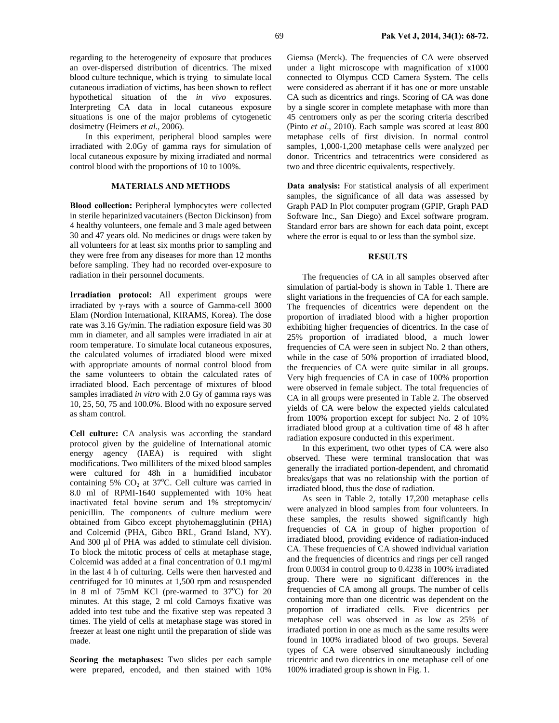regarding to the heterogeneity of exposure that produces an over-dispersed distribution of dicentrics. The mixed blood culture technique, which is trying to simulate local cutaneous irradiation of victims, has been shown to reflect hypothetical situation of the *in vivo* exposures. Interpreting CA data in local cutaneous exposure situations is one of the major problems of cytogenetic dosimetry (Heimers *et al.,* 2006).

In this experiment, peripheral blood samples were irradiated with 2.0Gy of gamma rays for simulation of local cutaneous exposure by mixing irradiated and normal control blood with the proportions of 10 to 100%.

### **MATERIALS AND METHODS**

**Blood collection:** Peripheral lymphocytes were collected in sterile heparinized vacutainers (Becton Dickinson) from 4 healthy volunteers, one female and 3 male aged between 30 and 47 years old. No medicines or drugs were taken by all volunteers for at least six months prior to sampling and they were free from any diseases for more than 12 months before sampling. They had no recorded over-exposure to radiation in their personnel documents.

**Irradiation protocol:** All experiment groups were irradiated by γ-rays with a source of Gamma-cell 3000 Elam (Nordion International, KIRAMS, Korea). The dose rate was 3.16 Gy/min. The radiation exposure field was 30 mm in diameter, and all samples were irradiated in air at room temperature. To simulate local cutaneous exposures, the calculated volumes of irradiated blood were mixed with appropriate amounts of normal control blood from the same volunteers to obtain the calculated rates of irradiated blood. Each percentage of mixtures of blood samples irradiated *in vitro* with 2.0 Gy of gamma rays was 10, 25, 50, 75 and 100.0%. Blood with no exposure served as sham control.

**Cell culture:** CA analysis was according the standard protocol given by the guideline of International atomic energy agency (IAEA) is required with slight modifications. Two milliliters of the mixed blood samples were cultured for 48h in a humidified incubator containing  $5\%$  CO<sub>2</sub> at  $37^{\circ}$ C. Cell culture was carried in 8.0 ml of RPMI-1640 supplemented with 10% heat inactivated fetal bovine serum and 1% streptomycin/ penicillin. The components of culture medium were obtained from Gibco except phytohemagglutinin (PHA) and Colcemid (PHA, Gibco BRL, Grand Island, NY). And 300 µl of PHA was added to stimulate cell division. To block the mitotic process of cells at metaphase stage, Colcemid was added at a final concentration of 0.1 mg/ml in the last 4 h of culturing. Cells were then harvested and centrifuged for 10 minutes at 1,500 rpm and resuspended in 8 ml of 75mM KCl (pre-warmed to  $37^{\circ}$ C) for 20 minutes. At this stage, 2 ml cold Carnoys fixative was added into test tube and the fixative step was repeated 3 times. The yield of cells at metaphase stage was stored in freezer at least one night until the preparation of slide was made.

**Scoring the metaphases:** Two slides per each sample were prepared, encoded, and then stained with 10% Giemsa (Merck). The frequencies of CA were observed under a light microscope with magnification of x1000 connected to Olympus CCD Camera System. The cells were considered as aberrant if it has one or more unstable CA such as dicentrics and rings. Scoring of CA was done by a single scorer in complete metaphase with more than 45 centromers only as per the scoring criteria described (Pinto *et al*., 2010). Each sample was scored at least 800 metaphase cells of first division. In normal control samples, 1,000-1,200 metaphase cells were analyzed per donor. Tricentrics and tetracentrics were considered as two and three dicentric equivalents, respectively.

**Data analysis:** For statistical analysis of all experiment samples, the significance of all data was assessed by Graph PAD In Plot computer program (GPIP, Graph PAD Software Inc., San Diego) and Excel software program. Standard error bars are shown for each data point, except where the error is equal to or less than the symbol size.

## **RESULTS**

The frequencies of CA in all samples observed after simulation of partial-body is shown in Table 1. There are slight variations in the frequencies of CA for each sample. The frequencies of dicentrics were dependent on the proportion of irradiated blood with a higher proportion exhibiting higher frequencies of dicentrics. In the case of 25% proportion of irradiated blood, a much lower frequencies of CA were seen in subject No. 2 than others, while in the case of 50% proportion of irradiated blood, the frequencies of CA were quite similar in all groups. Very high frequencies of CA in case of 100% proportion were observed in female subject. The total frequencies of CA in all groups were presented in Table 2. The observed yields of CA were below the expected yields calculated from 100% proportion except for subject No. 2 of 10% irradiated blood group at a cultivation time of 48 h after radiation exposure conducted in this experiment.

In this experiment, two other types of CA were also observed. These were terminal translocation that was generally the irradiated portion-dependent, and chromatid breaks/gaps that was no relationship with the portion of irradiated blood, thus the dose of radiation.

As seen in Table 2, totally 17,200 metaphase cells were analyzed in blood samples from four volunteers. In these samples, the results showed significantly high frequencies of CA in group of higher proportion of irradiated blood, providing evidence of radiation-induced CA. These frequencies of CA showed individual variation and the frequencies of dicentrics and rings per cell ranged from 0.0034 in control group to 0.4238 in 100% irradiated group. There were no significant differences in the frequencies of CA among all groups. The number of cells containing more than one dicentric was dependent on the proportion of irradiated cells. Five dicentrics per metaphase cell was observed in as low as 25% of irradiated portion in one as much as the same results were found in 100% irradiated blood of two groups. Several types of CA were observed simultaneously including tricentric and two dicentrics in one metaphase cell of one 100% irradiated group is shown in Fig. 1.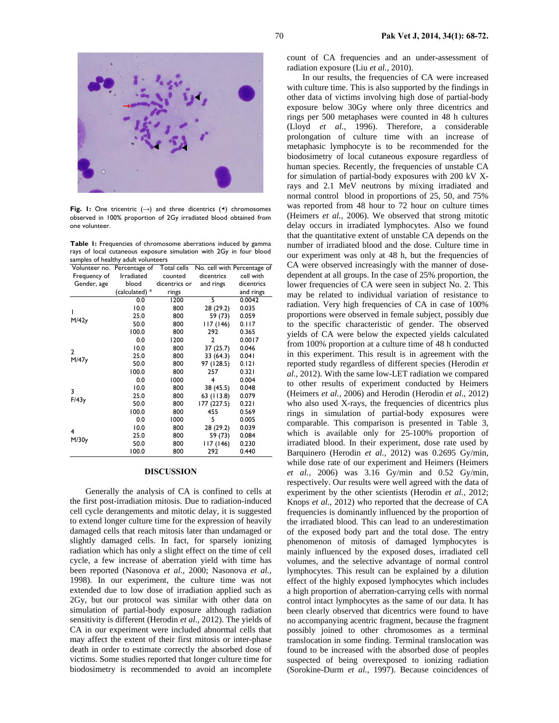

**Fig. 1:** One tricentric (**→**) and three dicentrics (◀) chromosomes observed in 100% proportion of 2Gy irradiated blood obtained from one volunteer.

**Table 1:** Frequencies of chromosome aberrations induced by gamma rays of local cutaneous exposure simulation with 2Gy in four blood samples of healthy adult volunteers

|                       | Volunteer no. Percentage of Total cells |               |                | No. cell with Percentage of |  |
|-----------------------|-----------------------------------------|---------------|----------------|-----------------------------|--|
| Frequency of          | Irradiated                              | counted       | dicentrics     | cell with                   |  |
| Gender, age           | blood                                   | dicentrics or | and rings      | dicentrics                  |  |
|                       | (calculated) *                          | rings         |                | and rings                   |  |
| ı<br>M/42y            | 0.0                                     | 1200          | 5              | 0.0042                      |  |
|                       | 10.0                                    | 800           | 28 (29.2)      | 0.035                       |  |
|                       | 25.0                                    | 800           | 59 (73)        | 0.059                       |  |
|                       | 50.0                                    | 800           | 17 (146)       | 0.117                       |  |
|                       | 100.0                                   | 800           | 292            | 0.365                       |  |
|                       | 0.0                                     | 1200          | $\overline{2}$ | 0.0017                      |  |
| $\mathbf{2}$<br>M/47y | 10.0                                    | 800           | 37 (25.7)      | 0.046                       |  |
|                       | 25.0                                    | 800           | 33 (64.3)      | 0.041                       |  |
|                       | 50.0                                    | 800           | 97 (128.5)     | 0.121                       |  |
|                       | 100.0                                   | 800           | 257            | 0.321                       |  |
| 3<br>F/43y            | 0.0                                     | 1000          | 4              | 0.004                       |  |
|                       | 10.0                                    | 800           | 38 (45.5)      | 0.048                       |  |
|                       | 25.0                                    | 800           | 63 (113.8)     | 0.079                       |  |
|                       | 50.0                                    | 800           | 177 (227.5)    | 0.221                       |  |
|                       | 100.0                                   | 800           | 455            | 0.569                       |  |
| 4<br>M/30y            | 0.0                                     | 1000          | 5              | 0.005                       |  |
|                       | 10.0                                    | 800           | 28 (29.2)      | 0.039                       |  |
|                       | 25.0                                    | 800           | 59 (73)        | 0.084                       |  |
|                       | 50.0                                    | 800           | 17 (146)       | 0.230                       |  |
|                       | 100.0                                   | 800           | 292            | 0.440                       |  |

#### **DISCUSSION**

Generally the analysis of CA is confined to cells at the first post-irradiation mitosis. Due to radiation-induced cell cycle derangements and mitotic delay, it is suggested to extend longer culture time for the expression of heavily damaged cells that reach mitosis later than undamaged or slightly damaged cells. In fact, for sparsely ionizing radiation which has only a slight effect on the time of cell cycle, a few increase of aberration yield with time has been reported (Nasonova *et al.,* 2000; Nasonova *et al.,* 1998). In our experiment, the culture time was not extended due to low dose of irradiation applied such as 2Gy, but our protocol was similar with other data on simulation of partial-body exposure although radiation sensitivity is different (Herodin *et al.,* 2012). The yields of CA in our experiment were included abnormal cells that may affect the extent of their first mitosis or inter-phase death in order to estimate correctly the absorbed dose of victims. Some studies reported that longer culture time for biodosimetry is recommended to avoid an incomplete

count of CA frequencies and an under-assessment of radiation exposure (Liu *et al.,* 2010).

In our results, the frequencies of CA were increased with culture time. This is also supported by the findings in other data of victims involving high dose of partial-body exposure below 30Gy where only three dicentrics and rings per 500 metaphases were counted in 48 h cultures (Lloyd *et al.,* 1996). Therefore, a considerable prolongation of culture time with an increase of metaphasic lymphocyte is to be recommended for the biodosimetry of local cutaneous exposure regardless of human species. Recently, the frequencies of unstable CA for simulation of partial-body exposures with 200 kV Xrays and 2.1 MeV neutrons by mixing irradiated and normal control blood in proportions of 25, 50, and 75% was reported from 48 hour to 72 hour on culture times (Heimers *et al.,* 2006). We observed that strong mitotic delay occurs in irradiated lymphocytes. Also we found that the quantitative extent of unstable CA depends on the number of irradiated blood and the dose. Culture time in our experiment was only at 48 h, but the frequencies of CA were observed increasingly with the manner of dosedependent at all groups. In the case of 25% proportion, the lower frequencies of CA were seen in subject No. 2. This may be related to individual variation of resistance to radiation. Very high frequencies of CA in case of 100% proportions were observed in female subject, possibly due to the specific characteristic of gender. The observed yields of CA were below the expected yields calculated from 100% proportion at a culture time of 48 h conducted in this experiment. This result is in agreement with the reported study regardless of different species (Herodin *et al.,* 2012). With the same low-LET radiation we compared to other results of experiment conducted by Heimers (Heimers *et al.,* 2006) and Herodin (Herodin *et al.,* 2012) who also used X-rays, the frequencies of dicentrics plus rings in simulation of partial-body exposures were comparable. This comparison is presented in Table 3, which is available only for 25-100% proportion of irradiated blood. In their experiment, dose rate used by Barquinero (Herodin *et al.,* 2012) was 0.2695 Gy/min, while dose rate of our experiment and Heimers (Heimers *et al.,* 2006) was 3.16 Gy/min and 0.52 Gy/min, respectively. Our results were well agreed with the data of experiment by the other scientists (Herodin *et al.,* 2012; Knops *et al.,* 2012) who reported that the decrease of CA frequencies is dominantly influenced by the proportion of the irradiated blood. This can lead to an underestimation of the exposed body part and the total dose. The entry phenomenon of mitosis of damaged lymphocytes is mainly influenced by the exposed doses, irradiated cell volumes, and the selective advantage of normal control lymphocytes. This result can be explained by a dilution effect of the highly exposed lymphocytes which includes a high proportion of aberration-carrying cells with normal control intact lymphocytes as the same of our data. It has been clearly observed that dicentrics were found to have no accompanying acentric fragment, because the fragment possibly joined to other chromosomes as a terminal translocation in some finding. Terminal translocation was found to be increased with the absorbed dose of peoples suspected of being overexposed to ionizing radiation (Sorokine-Durm *et al.,* 1997). Because coincidences of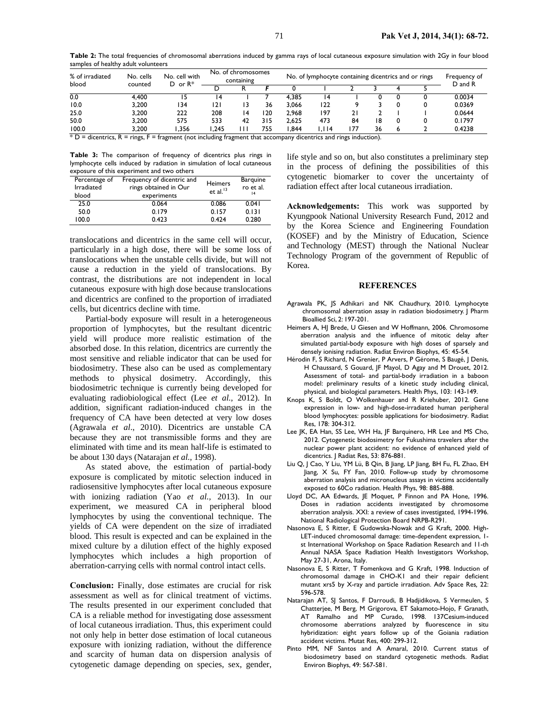**Table 2:** The total frequencies of chromosomal aberrations induced by gamma rays of local cutaneous exposure simulation with 2Gy in four blood samples of healthy adult volunteers

| % of irradiated<br>blood     | No. cells                      | No. cell with<br>$D$ or $R^*$<br>counted                                                                                                                                                                                      | No. of chromosomes<br>containing |    | No. of lymphocyte containing dicentrics and or rings |       |         |     |    | Frequency of<br>D and R |  |        |
|------------------------------|--------------------------------|-------------------------------------------------------------------------------------------------------------------------------------------------------------------------------------------------------------------------------|----------------------------------|----|------------------------------------------------------|-------|---------|-----|----|-------------------------|--|--------|
|                              |                                |                                                                                                                                                                                                                               |                                  |    |                                                      |       |         |     |    |                         |  |        |
| 0.0                          | 4.400                          |                                                                                                                                                                                                                               | 14                               |    |                                                      | 4.385 | 14      |     |    |                         |  | 0.0034 |
| 10.0                         | 3.200                          | 34                                                                                                                                                                                                                            | 121                              |    | 36                                                   | 3.066 | 122     |     |    |                         |  | 0.0369 |
| 25.0                         | 3.200                          | 222                                                                                                                                                                                                                           | 208                              |    | 20                                                   | 2.968 | 197     |     |    |                         |  | 0.0644 |
| 50.0                         | 3.200                          | 575                                                                                                                                                                                                                           | 533                              | 42 | 315                                                  | 2.625 | 473     | 84  | 18 |                         |  | 0.1797 |
| 100.0                        | 3.200                          | .356                                                                                                                                                                                                                          | .245                             |    | 755                                                  | .844  | I.I I 4 | 77، | 36 |                         |  | 0.4238 |
| $* \nabla = \text{distance}$ | n.<br>$\overline{\phantom{0}}$ | the collection of the company of the collection of the company consequence of the collection of the collection of the collection of the collection of the collection of the collection of the collection of the collection of |                                  |    |                                                      |       |         |     |    |                         |  |        |

 $D =$  dicentrics,  $R =$  rings,  $F =$  fragment (not including fragment that accompany dicentrics and rings induction).

**Table 3:** The comparison of frequency of dicentrics plus rings in lymphocyte cells induced by radiation in simulation of local cutaneous exposure of this experiment and two others

| Percentage of<br><b>Irradiated</b><br>blood | Frequency of dicentric and<br>rings obtained in Our<br>experiments | <b>Heimers</b><br>et al. $13$ | <b>Barquine</b><br>ro et al.<br> 4 |  |
|---------------------------------------------|--------------------------------------------------------------------|-------------------------------|------------------------------------|--|
| 25.0                                        | 0.064                                                              | 0.086                         | 0.041                              |  |
| 50.0                                        | 0.179                                                              | 0.157                         | 0.131                              |  |
| 100.0                                       | 0.423                                                              | 0.424                         | 0.280                              |  |

translocations and dicentrics in the same cell will occur, particularly in a high dose, there will be some loss of translocations when the unstable cells divide, but will not cause a reduction in the yield of translocations. By contrast, the distributions are not independent in local cutaneous exposure with high dose because translocations and dicentrics are confined to the proportion of irradiated cells, but dicentrics decline with time.

Partial-body exposure will result in a heterogeneous proportion of lymphocytes, but the resultant dicentric yield will produce more realistic estimation of the absorbed dose. In this relation, dicentrics are currently the most sensitive and reliable indicator that can be used for biodosimetry. These also can be used as complementary methods to physical dosimetry. Accordingly, this biodosimetric technique is currently being developed for evaluating radiobiological effect (Lee *et al.,* 2012). In addition, significant radiation-induced changes in the frequency of CA have been detected at very low doses (Agrawala *et al*., 2010). Dicentrics are unstable CA because they are not transmissible forms and they are eliminated with time and its mean half-life is estimated to be about 130 days (Natarajan *et al.,* 1998).

As stated above, the estimation of partial-body exposure is complicated by mitotic selection induced in radiosensitive lymphocytes after local cutaneous exposure with ionizing radiation (Yao *et al.,* 2013). In our experiment, we measured CA in peripheral blood lymphocytes by using the conventional technique. The yields of CA were dependent on the size of irradiated blood. This result is expected and can be explained in the mixed culture by a dilution effect of the highly exposed lymphocytes which includes a high proportion of aberration-carrying cells with normal control intact cells.

**Conclusion:** Finally, dose estimates are crucial for risk assessment as well as for clinical treatment of victims. The results presented in our experiment concluded that CA is a reliable method for investigating dose assessment of local cutaneous irradiation. Thus, this experiment could not only help in better dose estimation of local cutaneous exposure with ionizing radiation, without the difference and scarcity of human data on dispersion analysis of cytogenetic damage depending on species, sex, gender,

life style and so on, but also constitutes a preliminary step in the process of defining the possibilities of this cytogenetic biomarker to cover the uncertainty of radiation effect after local cutaneous irradiation.

**Acknowledgements:** This work was supported by Kyungpook National University Research Fund, 2012 and by the Korea Science and Engineering Foundation (KOSEF) and by the Ministry of Education, Science and Technology (MEST) through the National Nuclear Technology Program of the government of Republic of Korea.

#### **REFERENCES**

- Agrawala PK, JS Adhikari and NK Chaudhury, 2010. Lymphocyte chromosomal aberration assay in radiation biodosimetry. J Pharm Bioallied Sci, 2: 197-201.
- Heimers A, HJ Brede, U Giesen and W Hoffmann, 2006. Chromosome aberration analysis and the influence of mitotic delay after simulated partial-body exposure with high doses of sparsely and densely ionising radiation. Radiat Environ Biophys, 45: 45-54.
- Hérodin F, S Richard, N Grenier, P Arvers, P Gérome, S Baugé, J Denis, H Chaussard, S Gouard, JF Mayol, D Agay and M Drouet, 2012. Assessment of total- and partial-body irradiation in a baboon model: preliminary results of a kinetic study including clinical, physical, and biological parameters. Health Phys, 103: 143-149.
- Knops K, S Boldt, O Wolkenhauer and R Kriehuber, 2012. Gene expression in low- and high-dose-irradiated human peripheral blood lymphocytes: possible applications for biodosimetry. Radiat Res, 178: 304-312.
- Lee JK, EA Han, SS Lee, WH Ha, JF Barquinero, HR Lee and MS Cho, 2012. Cytogenetic biodosimetry for Fukushima travelers after the nuclear power plant accident: no evidence of enhanced yield of dicentrics. | Radiat Res, 53: 876-881.
- Liu Q, J Cao, Y Liu, YM Lü, B Qin, B Jiang, LP Jiang, BH Fu, FL Zhao, EH Jiang, X Su, FY Fan, 2010. Follow-up study by chromosome aberration analysis and micronucleus assays in victims accidentally exposed to 60Co radiation. Health Phys, 98: 885-888.
- Lloyd DC, AA Edwards, JE Moquet, P Finnon and PA Hone, 1996. Doses in radiation accidents investigated by chromosome aberration analysis. XXI: a review of cases investigated, 1994-1996. National Radiological Protection Board NRPB-R291.
- Nasonova E, S Ritter, E Gudowska-Nowak and G Kraft, 2000. High-LET-induced chromosomal damage: time-dependent expression, 1 st International Workshop on Space Radiation Research and 11-th Annual NASA Space Radiation Health Investigators Workshop, May 27-31, Arona, Italy.
- Nasonova E, S Ritter, T Fomenkova and G Kraft, 1998. Induction of chromosomal damage in CHO-K1 and their repair deficient mutant xrs5 by X-ray and particle irradiation. Adv Space Res*,* 22: 596-578.
- Natarajan AT, SJ Santos, F Darroudi, B Hadjidikova, S Vermeulen, S Chatterjee, M Berg, M Grigorova, ET Sakamoto-Hojo, F Granath, AT Ramalho and MP Curado, 1998. 137Cesium-induced chromosome aberrations analyzed by fluorescence in situ hybridization: eight years follow up of the Goiania radiation accident victims. Mutat Res, 400: 299-312.
- Pinto MM, NF Santos and A Amaral, 2010. Current status of biodosimetry based on standard cytogenetic methods. Radiat Environ Biophys, 49: 567-581.